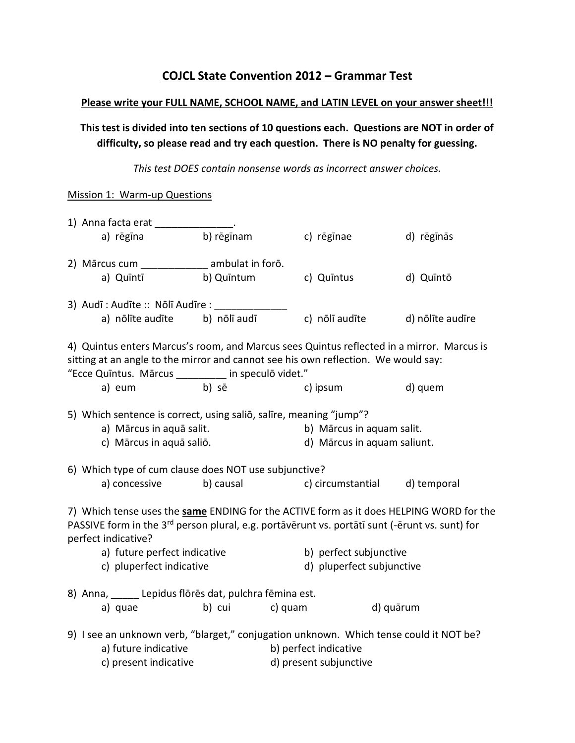# **COJCL State Convention 2012 – Grammar Test**

#### **Please write your FULL NAME, SCHOOL NAME, and LATIN LEVEL on your answer sheet!!!**

**This test is divided into ten sections of 10 questions each. Questions are NOT in order of difficulty, so please read and try each question. There is NO penalty for guessing.**

*This test DOES contain nonsense words as incorrect answer choices.*

## Mission 1: Warm-up Questions

|                                                                                                                                                                                                                                      | 1) Anna facta erat<br>a) rēgīna                                                                                                                                                                                                                                                          | b) rēgīnam   |         | c) rēgīnae                                               | d) rēgīnās       |  |
|--------------------------------------------------------------------------------------------------------------------------------------------------------------------------------------------------------------------------------------|------------------------------------------------------------------------------------------------------------------------------------------------------------------------------------------------------------------------------------------------------------------------------------------|--------------|---------|----------------------------------------------------------|------------------|--|
|                                                                                                                                                                                                                                      | 2) Mārcus cum ambulat in forō.<br>a) Quīntī                                                                                                                                                                                                                                              | b) Quintum   |         | c) Quintus                                               | d) Quintō        |  |
|                                                                                                                                                                                                                                      | 3) Audī : Audīte :: Nōlī Audīre :<br>a) nõlīte audīte                                                                                                                                                                                                                                    | b) nōlī audī |         | c) nõlī audīte                                           | d) nõlīte audīre |  |
| 4) Quintus enters Marcus's room, and Marcus sees Quintus reflected in a mirror. Marcus is<br>sitting at an angle to the mirror and cannot see his own reflection. We would say:<br>"Ecce Quintus. Mārcus ________ in speculō videt." |                                                                                                                                                                                                                                                                                          |              |         |                                                          |                  |  |
|                                                                                                                                                                                                                                      | a) eum                                                                                                                                                                                                                                                                                   | b) sē        |         | c) ipsum                                                 | d) quem          |  |
|                                                                                                                                                                                                                                      | 5) Which sentence is correct, using salio, salire, meaning "jump"?<br>a) Mārcus in aquā salit.<br>c) Mārcus in aquā saliō.                                                                                                                                                               |              |         | b) Mārcus in aquam salit.<br>d) Mārcus in aquam saliunt. |                  |  |
|                                                                                                                                                                                                                                      | 6) Which type of cum clause does NOT use subjunctive?                                                                                                                                                                                                                                    |              |         |                                                          |                  |  |
|                                                                                                                                                                                                                                      | a) concessive                                                                                                                                                                                                                                                                            | b) causal    |         | c) circumstantial                                        | d) temporal      |  |
|                                                                                                                                                                                                                                      | 7) Which tense uses the same ENDING for the ACTIVE form as it does HELPING WORD for the<br>PASSIVE form in the 3 <sup>rd</sup> person plural, e.g. portāvērunt vs. portātī sunt (-ērunt vs. sunt) for<br>perfect indicative?<br>a) future perfect indicative<br>c) pluperfect indicative |              |         | b) perfect subjunctive<br>d) pluperfect subjunctive      |                  |  |
|                                                                                                                                                                                                                                      | 8) Anna, _____ Lepidus flōrēs dat, pulchra fēmina est.                                                                                                                                                                                                                                   |              |         |                                                          |                  |  |
|                                                                                                                                                                                                                                      | a) quae                                                                                                                                                                                                                                                                                  | b) cui       | c) quam |                                                          | d) quārum        |  |
|                                                                                                                                                                                                                                      | 9) I see an unknown verb, "blarget," conjugation unknown. Which tense could it NOT be?<br>a) future indicative<br>c) present indicative                                                                                                                                                  |              |         | b) perfect indicative<br>d) present subjunctive          |                  |  |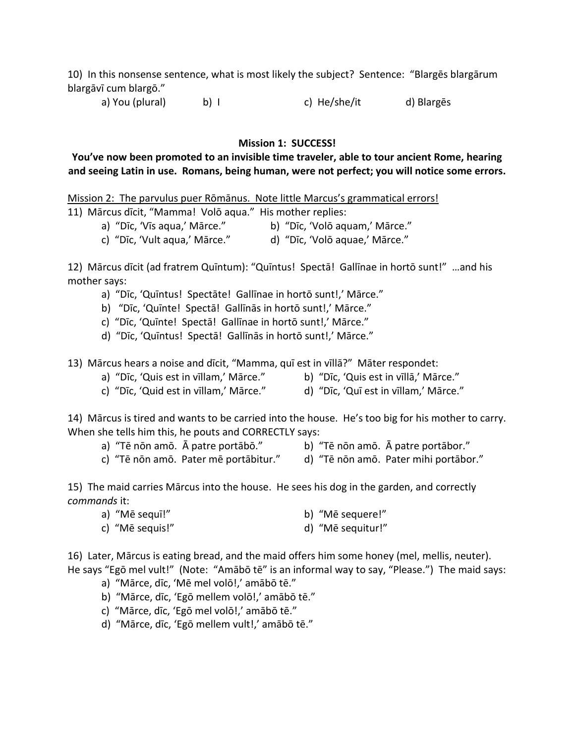10) In this nonsense sentence, what is most likely the subject? Sentence: "Blargēs blargārum blargāvī cum blargō."

a) You (plural) b) I c) He/she/it d) Blargēs

#### **Mission 1: SUCCESS!**

## **You've now been promoted to an invisible time traveler, able to tour ancient Rome, hearing and seeing Latin in use. Romans, being human, were not perfect; you will notice some errors.**

Mission 2: The parvulus puer Rōmānus. Note little Marcus's grammatical errors!

- 11) Mārcus dīcit, "Mamma! Volō aqua." His mother replies:
	- a) "Dīc, 'Vīs aqua,' Mārce." b) "Dīc, 'Volō aquam,' Mārce."
	- c) "Dīc, 'Vult aqua,' Mārce." d) "Dīc, 'Volō aquae,' Mārce."

12) Mārcus dīcit (ad fratrem Quīntum): "Quīntus! Spectā! Gallīnae in hortō sunt!" …and his mother says:

- a) "Dīc, 'Quīntus! Spectāte! Gallīnae in hortō sunt!,' Mārce."
- b) "Dīc, 'Quīnte! Spectā! Gallīnās in hortō sunt!,' Mārce."
- c) "Dīc, 'Quīnte! Spectā! Gallīnae in hortō sunt!,' Mārce."
- d) "Dīc, 'Quīntus! Spectā! Gallīnās in hortō sunt!,' Mārce."

13) Mārcus hears a noise and dīcit, "Mamma, quī est in vīllā?" Māter respondet:

- a) "Dīc, 'Quis est in vīllam,' Mārce." b) "Dīc, 'Quis est in vīllā,' Mārce."
- c) "Dīc, 'Quid est in vīllam,' Mārce." d) "Dīc, 'Quī est in vīllam,' Mārce."

14) Mārcus is tired and wants to be carried into the house. He's too big for his mother to carry. When she tells him this, he pouts and CORRECTLY says:

a) "Tē nōn amō. Ā patre portābō." b) "Tē nōn amō. Ā patre portābor."

c) "Tē nōn amō. Pater mē portābitur." d) "Tē nōn amō. Pater mihi portābor."

15) The maid carries Mārcus into the house. He sees his dog in the garden, and correctly *commands* it:

| a) "Mē sequī!" | b) "Mē sequere!" |
|----------------|------------------|
|----------------|------------------|

c) "Mē sequis!" d) "Mē sequitur!"

16) Later, Mārcus is eating bread, and the maid offers him some honey (mel, mellis, neuter). He says "Egō mel vult!" (Note: "Amābō tē" is an informal way to say, "Please.") The maid says:

- a) "Mārce, dīc, 'Mē mel volō!,' amābō tē."
- b) "Mārce, dīc, 'Egō mellem volō!,' amābō tē."
- c) "Mārce, dīc, 'Egō mel volō!,' amābō tē."
- d) "Mārce, dīc, 'Egō mellem vult!,' amābō tē."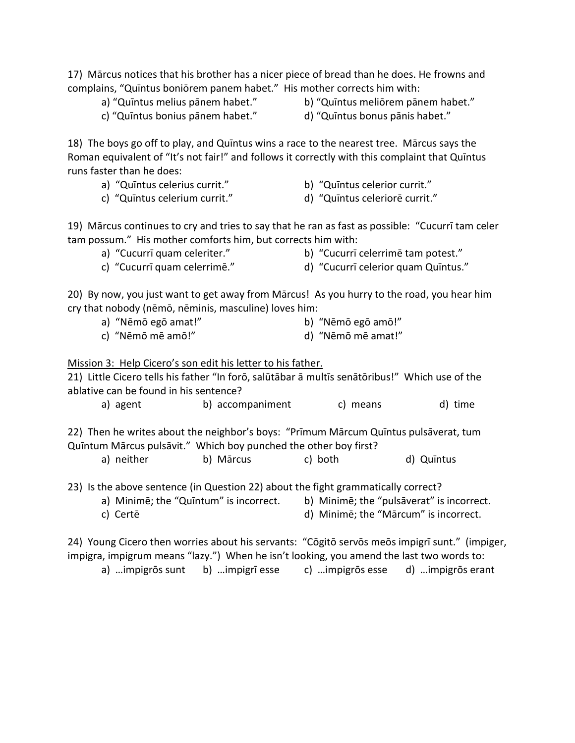17) Mārcus notices that his brother has a nicer piece of bread than he does. He frowns and complains, "Quīntus boniōrem panem habet." His mother corrects him with:

a) "Quīntus melius pānem habet." b) "Quīntus meliōrem pānem habet."

c) "Quīntus bonius pānem habet." d) "Quīntus bonus pānis habet."

18) The boys go off to play, and Quīntus wins a race to the nearest tree. Mārcus says the Roman equivalent of "It's not fair!" and follows it correctly with this complaint that Quīntus runs faster than he does:

- a) "Quīntus celerius currit." b) "Quīntus celerior currit."
	-
- c) "Quīntus celerium currit." d) "Quīntus celeriorē currit."
- 

19) Mārcus continues to cry and tries to say that he ran as fast as possible: "Cucurrī tam celer tam possum." His mother comforts him, but corrects him with:

- 
- a) "Cucurrī quam celeriter." b) "Cucurrī celerrimē tam potest."
- c) "Cucurrī quam celerrimē." d) "Cucurrī celerior quam Quīntus."
- 

20) By now, you just want to get away from Mārcus! As you hurry to the road, you hear him cry that nobody (nēmō, nēminis, masculine) loves him:

- a) "Nēmō egō amat!" b) "Nēmō egō amō!"
- c) "Nēmō mē amō!" d) "Nēmō mē amat!"

## Mission 3: Help Cicero's son edit his letter to his father.

21) Little Cicero tells his father "In forō, salūtābar ā multīs senātōribus!" Which use of the ablative can be found in his sentence?

a) agent b) accompaniment c) means d) time

22) Then he writes about the neighbor's boys: "Prīmum Mārcum Quīntus pulsāverat, tum Quīntum Mārcus pulsāvit." Which boy punched the other boy first?

a) neither b) Mārcus c) both d) Quīntus

23) Is the above sentence (in Question 22) about the fight grammatically correct?

a) Minimē; the "Quīntum" is incorrect. b) Minimē; the "pulsāverat" is incorrect. c) Certē d) Minimē; the "Mārcum" is incorrect.

24) Young Cicero then worries about his servants: "Cōgitō servōs meōs impigrī sunt." (impiger, impigra, impigrum means "lazy.") When he isn't looking, you amend the last two words to:

a) …impigrōs sunt b) …impigrī esse c) …impigrōs esse d) …impigrōs erant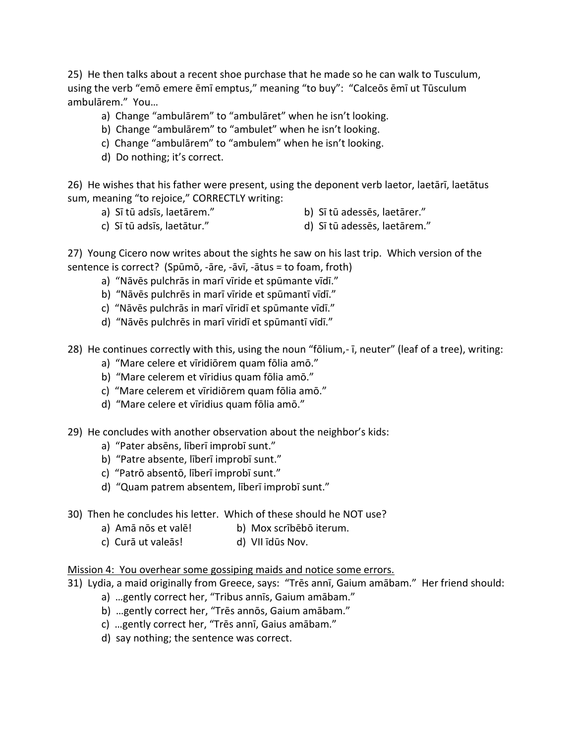25) He then talks about a recent shoe purchase that he made so he can walk to Tusculum, using the verb "emō emere ēmī emptus," meaning "to buy": "Calceōs ēmī ut Tūsculum ambulārem." You…

- a) Change "ambulārem" to "ambulāret" when he isn't looking.
- b) Change "ambulārem" to "ambulet" when he isn't looking.
- c) Change "ambulārem" to "ambulem" when he isn't looking.
- d) Do nothing; it's correct.

26) He wishes that his father were present, using the deponent verb laetor, laetārī, laetātus sum, meaning "to rejoice," CORRECTLY writing:

- a) Sī tū adsīs, laetārem." b) Sī tū adessēs, laetārer."
	-
- c) Sī tū adsīs, laetātur." d) Sī tū adessēs, laetārem."
- 

27) Young Cicero now writes about the sights he saw on his last trip. Which version of the sentence is correct? (Spūmō, -āre, -āvī, -ātus = to foam, froth)

- a) "Nāvēs pulchrās in marī vīride et spūmante vīdī."
- b) "Nāvēs pulchrēs in marī vīride et spūmantī vīdī."
- c) "Nāvēs pulchrās in marī vīridī et spūmante vīdī."
- d) "Nāvēs pulchrēs in marī vīridī et spūmantī vīdī."

28) He continues correctly with this, using the noun "fōlium,- ī, neuter" (leaf of a tree), writing:

- a) "Mare celere et vīridiōrem quam fōlia amō."
- b) "Mare celerem et vīridius quam fōlia amō."
- c) "Mare celerem et vīridiōrem quam fōlia amō."
- d) "Mare celere et vīridius quam fōlia amō."
- 29) He concludes with another observation about the neighbor's kids:
	- a) "Pater absēns, līberī improbī sunt."
	- b) "Patre absente, līberī improbī sunt."
	- c) "Patrō absentō, līberī improbī sunt."
	- d) "Quam patrem absentem, līberī improbī sunt."
- 30) Then he concludes his letter. Which of these should he NOT use?
	- a) Amā nōs et valē! b) Mox scrībēbō iterum.
	- c) Curā ut valeās! d) VII īdūs Nov.

#### Mission 4: You overhear some gossiping maids and notice some errors.

31) Lydia, a maid originally from Greece, says: "Trēs annī, Gaium amābam." Her friend should:

- a) …gently correct her, "Tribus annīs, Gaium amābam."
- b) …gently correct her, "Trēs annōs, Gaium amābam."
- c) …gently correct her, "Trēs annī, Gaius amābam."
- d) say nothing; the sentence was correct.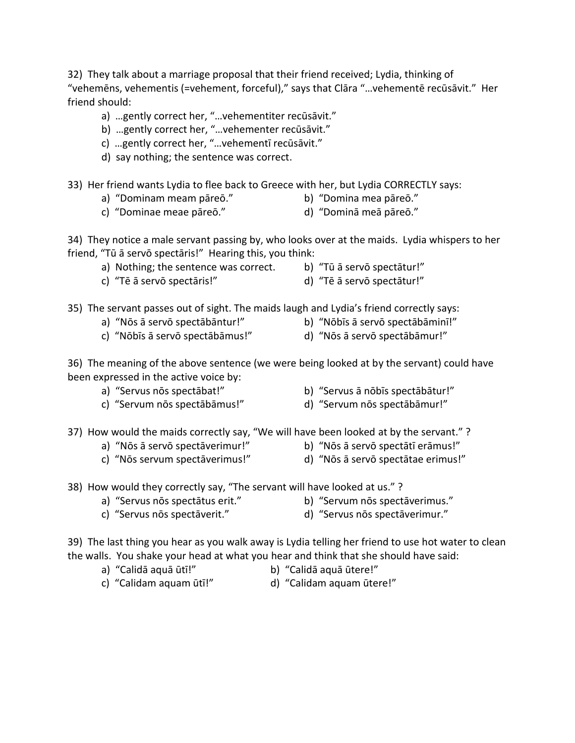32) They talk about a marriage proposal that their friend received; Lydia, thinking of "vehemēns, vehementis (=vehement, forceful)," says that Clāra "…vehementē recūsāvit." Her friend should:

- a) …gently correct her, "…vehementiter recūsāvit."
- b) …gently correct her, "…vehementer recūsāvit."
- c) …gently correct her, "…vehementī recūsāvit."
- d) say nothing; the sentence was correct.
- 33) Her friend wants Lydia to flee back to Greece with her, but Lydia CORRECTLY says:
	- a) "Dominam meam pāreō." b) "Domina mea pāreō."
		-
	- c) "Dominae meae pāreō." d) "Dominā meā pāreō."

34) They notice a male servant passing by, who looks over at the maids. Lydia whispers to her friend, "Tū ā servō spectāris!" Hearing this, you think:

- a) Nothing; the sentence was correct. b) "Tū ā servō spectātur!"
	-
- c) "Tē ā servō spectāris!" d) "Tē ā servō spectātur!"
- 
- 35) The servant passes out of sight. The maids laugh and Lydia's friend correctly says:
	- a) "Nōs ā servō spectābāntur!" b) "Nōbīs ā servō spectābāminī!"
	- c) "Nōbīs ā servō spectābāmus!" d) "Nōs ā servō spectābāmur!"
- 
- 36) The meaning of the above sentence (we were being looked at by the servant) could have

been expressed in the active voice by:

- 
- a) "Servus nōs spectābat!" b) "Servus ā nōbīs spectābātur!"
- c) "Servum nōs spectābāmus!" d) "Servum nōs spectābāmur!"
- -
- 37) How would the maids correctly say, "We will have been looked at by the servant." ?
	- a) "Nōs ā servō spectāverimur!" b) "Nōs ā servō spectātī erāmus!"
		-
	- c) "Nōs servum spectāverimus!" d) "Nōs ā servō spectātae erimus!"
- -

38) How would they correctly say, "The servant will have looked at us." ?

- 
- a) "Servus nōs spectātus erit." b) "Servum nōs spectāverimus."
- c) "Servus nōs spectāverit." d) "Servus nōs spectāverimur."
	-

39) The last thing you hear as you walk away is Lydia telling her friend to use hot water to clean the walls. You shake your head at what you hear and think that she should have said:

- 
- a) "Calidā aquā ūtī!" b) "Calidā aquā ūtere!"
- c) "Calidam aquam ūtī!" d) "Calidam aquam ūtere!"
- 
- 
- 
- 
- 
- 
-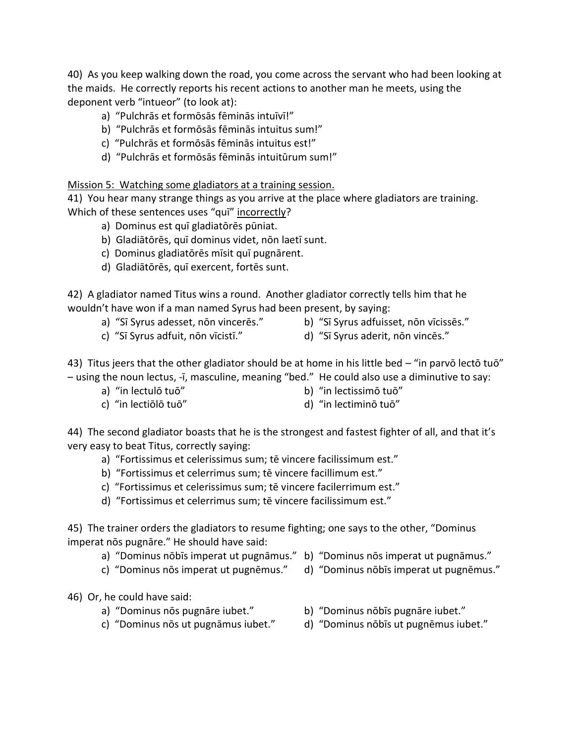40) As you keep walking down the road, you come across the servant who had been looking at the maids. He correctly reports his recent actions to another man he meets, using the deponent verb "intueor" (to look at):

- a) "Pulchrās et formōsās fēminās intuīvī!"
- b) "Pulchrās et formōsās fēminās intuitus sum!"
- c) "Pulchrās et formōsās fēminās intuitus est!"
- d) "Pulchrās et formōsās fēminās intuitūrum sum!"

## Mission 5: Watching some gladiators at a training session.

41) You hear many strange things as you arrive at the place where gladiators are training. Which of these sentences uses "qui" incorrectly?

- a) Dominus est quī gladiatōrēs pūniat.
- b) Gladiātōrēs, quī dominus videt, nōn laetī sunt.
- c) Dominus gladiatōrēs mīsit quī pugnārent.
- d) Gladiātōrēs, quī exercent, fortēs sunt.

42) A gladiator named Titus wins a round. Another gladiator correctly tells him that he wouldn't have won if a man named Syrus had been present, by saying:

- 
- c) "Sī Syrus adfuit, nōn vīcistī." d) "Sī Syrus aderit, nōn vincēs."
- a) "Sī Syrus adesset, nōn vincerēs." b) "Sī Syrus adfuisset, nōn vīcissēs."
	-

43) Titus jeers that the other gladiator should be at home in his little bed - "in parvō lectō tuō" – using the noun lectus, -ī, masculine, meaning "bed." He could also use a diminutive to say:

- 
- a) "in lectulō tuō" b) "in lectissimō tuō"
- c) "in lectiōlō tuō" d) "in lectiminō tuō"
- 

44) The second gladiator boasts that he is the strongest and fastest fighter of all, and that it's very easy to beat Titus, correctly saying:

- a) "Fortissimus et celerissimus sum; tē vincere facilissimum est."
- b) "Fortissimus et celerrimus sum; tē vincere facillimum est."
- c) "Fortissimus et celerissimus sum; tē vincere facilerrimum est."
- d) "Fortissimus et celerrimus sum; tē vincere facilissimum est."

45) The trainer orders the gladiators to resume fighting; one says to the other, "Dominus imperat nōs pugnāre." He should have said:

- a) "Dominus nōbīs imperat ut pugnāmus." b) "Dominus nōs imperat ut pugnāmus."
	-
- c) "Dominus nōs imperat ut pugnēmus." d) "Dominus nōbīs imperat ut pugnēmus."
- 46) Or, he could have said:
	-
	-
	- a) "Dominus nōs pugnāre iubet." b) "Dominus nōbīs pugnāre iubet."
	- c) "Dominus nōs ut pugnāmus iubet." d) "Dominus nōbīs ut pugnēmus iubet."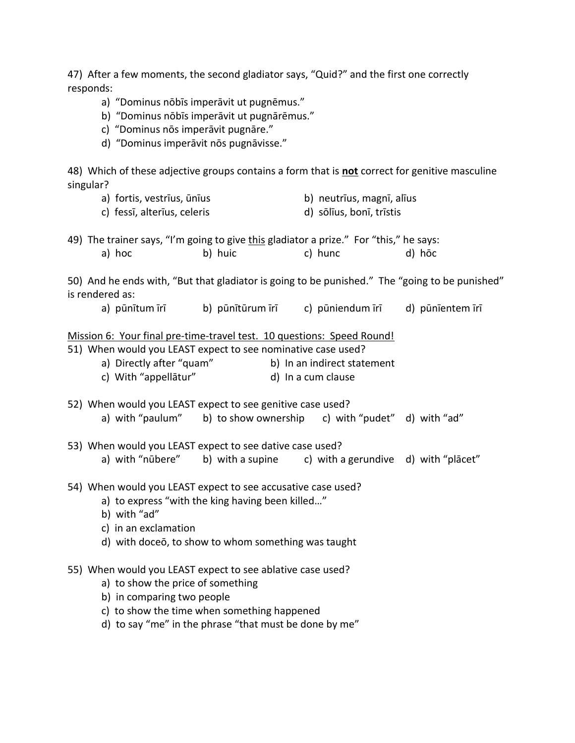47) After a few moments, the second gladiator says, "Quid?" and the first one correctly responds:

- a) "Dominus nōbīs imperāvit ut pugnēmus."
- b) "Dominus nōbīs imperāvit ut pugnārēmus."
- c) "Dominus nōs imperāvit pugnāre."
- d) "Dominus imperāvit nōs pugnāvisse."

48) Which of these adjective groups contains a form that is **not** correct for genitive masculine singular?

- a) fortis, vestrīus, ūnīus b) neutrīus, magnī, alīus
- c) fessī, alterīus, celeris d) sōlīus, bonī, trīstis
- 49) The trainer says, "I'm going to give this gladiator a prize." For "this," he says: a) hoc b) huic c) hunc d) hōc

50) And he ends with, "But that gladiator is going to be punished." The "going to be punished" is rendered as:

a) pūnītum īrī b) pūnītūrum īrī c) pūniendum īrī d) pūnīentem īrī

|  |  |  | Mission 6: Your final pre-time-travel test. 10 questions: Speed Round! |  |  |
|--|--|--|------------------------------------------------------------------------|--|--|
|--|--|--|------------------------------------------------------------------------|--|--|

51) When would you LEAST expect to see nominative case used?

| a) Directly after "quam" | b) In an indirect statement |
|--------------------------|-----------------------------|
| c) With "appellātur"     | d) In a cum clause          |

- 52) When would you LEAST expect to see genitive case used? a) with "paulum" b) to show ownership c) with "pudet" d) with "ad"
- 53) When would you LEAST expect to see dative case used? a) with "nūbere" b) with a supine c) with a gerundive d) with "plācet"
- 54) When would you LEAST expect to see accusative case used?
	- a) to express "with the king having been killed…"
	- b) with "ad"
	- c) in an exclamation
	- d) with doceō, to show to whom something was taught

## 55) When would you LEAST expect to see ablative case used?

- a) to show the price of something
- b) in comparing two people
- c) to show the time when something happened
- d) to say "me" in the phrase "that must be done by me"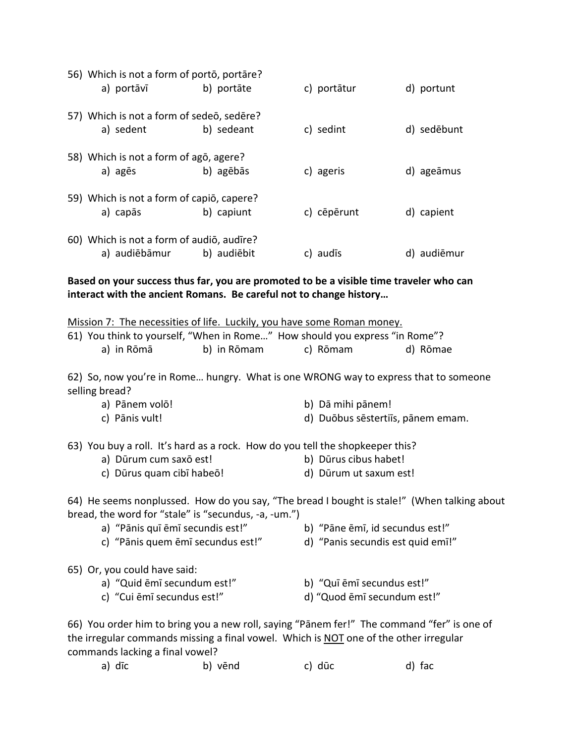| 56) Which is not a form of porto, portare?<br>a) portāvī   | b) portāte  | c) portātur | d) portunt  |
|------------------------------------------------------------|-------------|-------------|-------------|
| 57) Which is not a form of sedeo, sedere?<br>a) sedent     | b) sedeant  | c) sedint   | d) sedēbunt |
| 58) Which is not a form of ago, agere?<br>a) agēs          | b) agēbās   | c) ageris   | d) ageāmus  |
| 59) Which is not a form of capio, capere?<br>a) capās      | b) capiunt  | c) cēpērunt | d) capient  |
| 60) Which is not a form of audio, audire?<br>a) audiēbāmur | b) audiēbit | c) audis    | d) audiēmur |

**Based on your success thus far, you are promoted to be a visible time traveler who can interact with the ancient Romans. Be careful not to change history…**

| Mission 7: The necessities of life. Luckily, you have some Roman money.                                                                             |                                   |  |  |  |  |  |
|-----------------------------------------------------------------------------------------------------------------------------------------------------|-----------------------------------|--|--|--|--|--|
| 61) You think to yourself, "When in Rome" How should you express "in Rome"?                                                                         |                                   |  |  |  |  |  |
| b) in Rōmam<br>a) in Rōmā                                                                                                                           | c) Rōmam<br>d) Rōmae              |  |  |  |  |  |
|                                                                                                                                                     |                                   |  |  |  |  |  |
| 62) So, now you're in Rome hungry. What is one WRONG way to express that to someone                                                                 |                                   |  |  |  |  |  |
| selling bread?                                                                                                                                      |                                   |  |  |  |  |  |
| a) Pānem volō!                                                                                                                                      | b) Dā mihi pānem!                 |  |  |  |  |  |
| c) Pānis vult!                                                                                                                                      | d) Duōbus sēstertiīs, pānem emam. |  |  |  |  |  |
|                                                                                                                                                     |                                   |  |  |  |  |  |
| 63) You buy a roll. It's hard as a rock. How do you tell the shopkeeper this?                                                                       |                                   |  |  |  |  |  |
| a) Dūrum cum saxō est!                                                                                                                              | b) Dūrus cibus habet!             |  |  |  |  |  |
| c) Dūrus quam cibī habeō!                                                                                                                           | d) Dūrum ut saxum est!            |  |  |  |  |  |
| 64) He seems nonplussed. How do you say, "The bread I bought is stale!" (When talking about<br>bread, the word for "stale" is "secundus, -a, -um.") |                                   |  |  |  |  |  |
| a) "Pānis quī ēmī secundis est!"                                                                                                                    | b) "Pāne ēmī, id secundus est!"   |  |  |  |  |  |
| c) "Pānis quem ēmī secundus est!"                                                                                                                   | d) "Panis secundis est quid emī!" |  |  |  |  |  |
|                                                                                                                                                     |                                   |  |  |  |  |  |
| 65) Or, you could have said:                                                                                                                        |                                   |  |  |  |  |  |
| a) "Quid ēmī secundum est!"                                                                                                                         | b) "Quī ēmī secundus est!"        |  |  |  |  |  |
| c) "Cui ēmī secundus est!"                                                                                                                          | d) "Quod ēmī secundum est!"       |  |  |  |  |  |
|                                                                                                                                                     |                                   |  |  |  |  |  |
| 66) You order him to bring you a new roll, saying "Pānem fer!" The command "fer" is one of                                                          |                                   |  |  |  |  |  |
| the irregular commands missing a final vowel. Which is NOT one of the other irregular                                                               |                                   |  |  |  |  |  |
| commands lacking a final vowel?                                                                                                                     |                                   |  |  |  |  |  |

|  | a) dīc | b) vēnd | c) dūc | d) fac |
|--|--------|---------|--------|--------|
|--|--------|---------|--------|--------|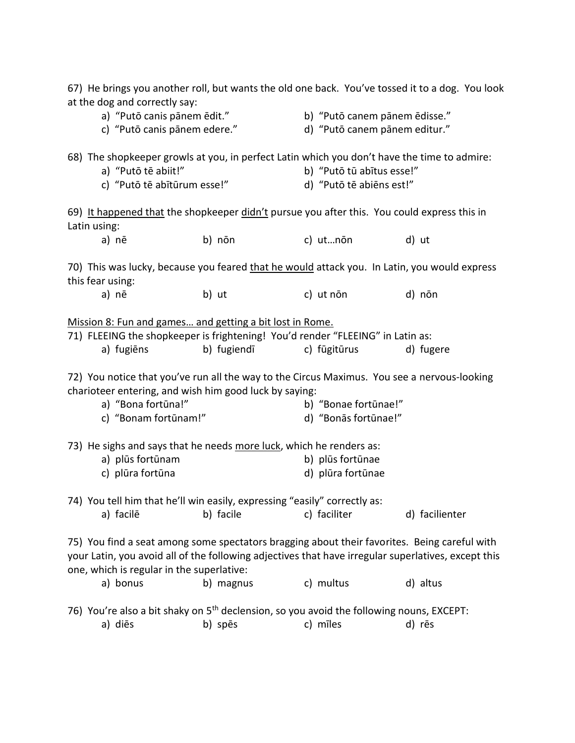| 67) He brings you another roll, but wants the old one back. You've tossed it to a dog. You look<br>at the dog and correctly say:                                                                                                                 |                                                                                             |                                                                |                |  |  |  |
|--------------------------------------------------------------------------------------------------------------------------------------------------------------------------------------------------------------------------------------------------|---------------------------------------------------------------------------------------------|----------------------------------------------------------------|----------------|--|--|--|
| a) "Putō canis pānem ēdit."<br>c) "Putō canis pānem edere."                                                                                                                                                                                      |                                                                                             | b) "Putō canem pānem ēdisse."<br>d) "Putō canem pānem editur." |                |  |  |  |
| 68) The shopkeeper growls at you, in perfect Latin which you don't have the time to admire:<br>a) "Putō tē abiit!"<br>c) "Putō tē abītūrum esse!"                                                                                                |                                                                                             | b) "Putō tū abītus esse!"<br>d) "Putō tē abiēns est!"          |                |  |  |  |
| Latin using:                                                                                                                                                                                                                                     | 69) It happened that the shopkeeper didn't pursue you after this. You could express this in |                                                                |                |  |  |  |
| a) nē                                                                                                                                                                                                                                            | b) nōn                                                                                      | c) ut…nōn                                                      | d) ut          |  |  |  |
| 70) This was lucky, because you feared that he would attack you. In Latin, you would express<br>this fear using:                                                                                                                                 |                                                                                             |                                                                |                |  |  |  |
| a) nē                                                                                                                                                                                                                                            | b) ut                                                                                       | c) ut non                                                      | d) nōn         |  |  |  |
| Mission 8: Fun and games and getting a bit lost in Rome.<br>71) FLEEING the shopkeeper is frightening! You'd render "FLEEING" in Latin as:                                                                                                       |                                                                                             |                                                                |                |  |  |  |
| a) fugiēns                                                                                                                                                                                                                                       | b) fugiendī                                                                                 | c) fūgitūrus                                                   | d) fugere      |  |  |  |
| 72) You notice that you've run all the way to the Circus Maximus. You see a nervous-looking<br>charioteer entering, and wish him good luck by saying:                                                                                            |                                                                                             |                                                                |                |  |  |  |
| a) "Bona fortūna!"<br>c) "Bonam fortūnam!"                                                                                                                                                                                                       |                                                                                             | b) "Bonae fortūnae!"<br>d) "Bonās fortūnae!"                   |                |  |  |  |
| 73) He sighs and says that he needs more luck, which he renders as:                                                                                                                                                                              |                                                                                             |                                                                |                |  |  |  |
| a) plūs fortūnam<br>c) plūra fortūna                                                                                                                                                                                                             |                                                                                             | b) plūs fortūnae<br>d) plūra fortūnae                          |                |  |  |  |
| 74) You tell him that he'll win easily, expressing "easily" correctly as:                                                                                                                                                                        |                                                                                             |                                                                |                |  |  |  |
| a) facilē                                                                                                                                                                                                                                        | b) facile                                                                                   | c) faciliter                                                   | d) facilienter |  |  |  |
| 75) You find a seat among some spectators bragging about their favorites. Being careful with<br>your Latin, you avoid all of the following adjectives that have irregular superlatives, except this<br>one, which is regular in the superlative: |                                                                                             |                                                                |                |  |  |  |
| a) bonus                                                                                                                                                                                                                                         | b) magnus                                                                                   | c) multus                                                      | d) altus       |  |  |  |
| 76) You're also a bit shaky on 5 <sup>th</sup> declension, so you avoid the following nouns, EXCEPT:<br>a) diēs                                                                                                                                  | b) spēs                                                                                     | c) mīles                                                       | d) rēs         |  |  |  |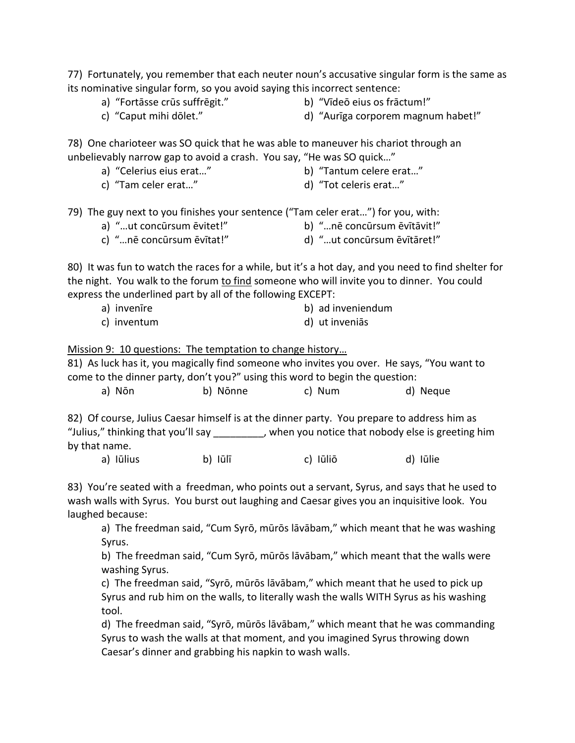77) Fortunately, you remember that each neuter noun's accusative singular form is the same as its nominative singular form, so you avoid saying this incorrect sentence:

- 
- a) "Fortāsse crūs suffrēgit." b) "Vīdeō eius os frāctum!"
- 
- c) "Caput mihi dōlet." d) "Aurīga corporem magnum habet!"

78) One charioteer was SO quick that he was able to maneuver his chariot through an unbelievably narrow gap to avoid a crash. You say, "He was SO quick…"

- a) "Celerius eius erat..." b) "Tantum celere erat..."
- 
- c) "Tam celer erat…" d) "Tot celeris erat…"
- 79) The guy next to you finishes your sentence ("Tam celer erat…") for you, with:
	- a) "...ut concūrsum ēvitet!" b) "...nē concūrsum ēvītāvit!"
	- c) "…nē concūrsum ēvītat!" d) "…ut concūrsum ēvītāret!"

80) It was fun to watch the races for a while, but it's a hot day, and you need to find shelter for the night. You walk to the forum to find someone who will invite you to dinner. You could express the underlined part by all of the following EXCEPT:

a) invenīre b) ad inveniendum c) inventum d) ut inveniās

Mission 9: 10 questions: The temptation to change history…

81) As luck has it, you magically find someone who invites you over. He says, "You want to come to the dinner party, don't you?" using this word to begin the question:

| a) Nōn<br>b) Nōnne<br>d) Neque<br>c) Num |  |
|------------------------------------------|--|
|------------------------------------------|--|

82) Of course, Julius Caesar himself is at the dinner party. You prepare to address him as "Julius," thinking that you'll say \_\_\_\_\_\_\_\_, when you notice that nobody else is greeting him by that name.

a) Iūlius b) Iūlī c) Iūliō d) Iūlie

83) You're seated with a freedman, who points out a servant, Syrus, and says that he used to wash walls with Syrus. You burst out laughing and Caesar gives you an inquisitive look. You laughed because:

a) The freedman said, "Cum Syrō, mūrōs lāvābam," which meant that he was washing Syrus.

b) The freedman said, "Cum Syrō, mūrōs lāvābam," which meant that the walls were washing Syrus.

c) The freedman said, "Syrō, mūrōs lāvābam," which meant that he used to pick up Syrus and rub him on the walls, to literally wash the walls WITH Syrus as his washing tool.

d) The freedman said, "Syrō, mūrōs lāvābam," which meant that he was commanding Syrus to wash the walls at that moment, and you imagined Syrus throwing down Caesar's dinner and grabbing his napkin to wash walls.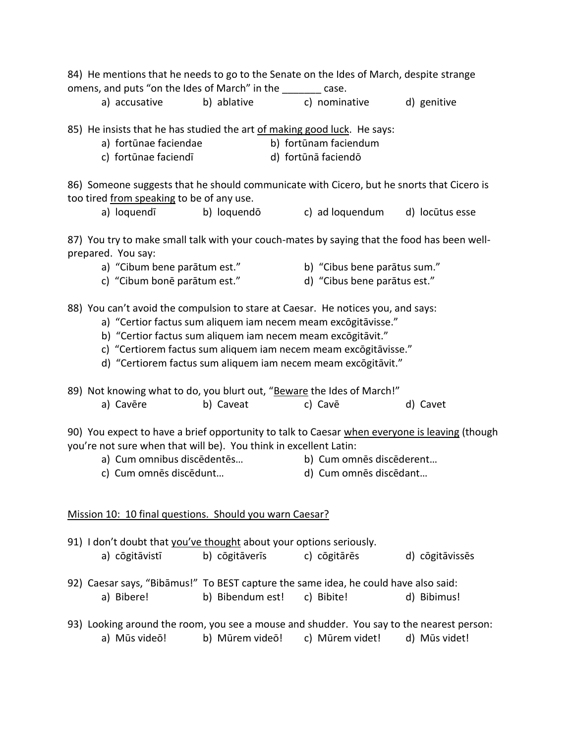| 84) He mentions that he needs to go to the Senate on the Ides of March, despite strange<br>omens, and puts "on the Ides of March" in the _______ case.                                                                                                                                                                                               |                                                                                                                                                                           |                  |                              |                 |  |  |  |
|------------------------------------------------------------------------------------------------------------------------------------------------------------------------------------------------------------------------------------------------------------------------------------------------------------------------------------------------------|---------------------------------------------------------------------------------------------------------------------------------------------------------------------------|------------------|------------------------------|-----------------|--|--|--|
|                                                                                                                                                                                                                                                                                                                                                      | a) accusative                                                                                                                                                             | b) ablative      | c) nominative                | d) genitive     |  |  |  |
|                                                                                                                                                                                                                                                                                                                                                      | 85) He insists that he has studied the art of making good luck. He says:<br>a) fortūnae faciendae<br>b) fortūnam faciendum<br>c) fortūnae faciendī<br>d) fortūnā faciendō |                  |                              |                 |  |  |  |
|                                                                                                                                                                                                                                                                                                                                                      | 86) Someone suggests that he should communicate with Cicero, but he snorts that Cicero is                                                                                 |                  |                              |                 |  |  |  |
|                                                                                                                                                                                                                                                                                                                                                      | too tired from speaking to be of any use.                                                                                                                                 |                  |                              |                 |  |  |  |
|                                                                                                                                                                                                                                                                                                                                                      | a) loquendī                                                                                                                                                               | b) loquendō      | c) ad loquendum              | d) locūtus esse |  |  |  |
|                                                                                                                                                                                                                                                                                                                                                      | 87) You try to make small talk with your couch-mates by saying that the food has been well-<br>prepared. You say:                                                         |                  |                              |                 |  |  |  |
|                                                                                                                                                                                                                                                                                                                                                      | a) "Cibum bene parātum est."                                                                                                                                              |                  | b) "Cibus bene parātus sum." |                 |  |  |  |
|                                                                                                                                                                                                                                                                                                                                                      | c) "Cibum bonē parātum est."                                                                                                                                              |                  | d) "Cibus bene parātus est." |                 |  |  |  |
| 88) You can't avoid the compulsion to stare at Caesar. He notices you, and says:<br>a) "Certior factus sum aliquem iam necem meam excōgitāvisse."<br>b) "Certior factus sum aliquem iam necem meam excogitāvit."<br>c) "Certiorem factus sum aliquem iam necem meam excōgitāvisse."<br>d) "Certiorem factus sum aliquem iam necem meam excōgitāvit." |                                                                                                                                                                           |                  |                              |                 |  |  |  |
|                                                                                                                                                                                                                                                                                                                                                      | 89) Not knowing what to do, you blurt out, "Beware the Ides of March!"                                                                                                    |                  |                              |                 |  |  |  |
|                                                                                                                                                                                                                                                                                                                                                      | a) Cavēre                                                                                                                                                                 | b) Caveat        | c) Cave                      | d) Cavet        |  |  |  |
| 90) You expect to have a brief opportunity to talk to Caesar when everyone is leaving (though<br>you're not sure when that will be). You think in excellent Latin:<br>a) Cum omnibus discēdentēs<br>b) Cum omnēs discēderent<br>c) Cum omnēs discēdunt<br>d) Cum omnēs discēdant                                                                     |                                                                                                                                                                           |                  |                              |                 |  |  |  |
| Mission 10: 10 final questions. Should you warn Caesar?                                                                                                                                                                                                                                                                                              |                                                                                                                                                                           |                  |                              |                 |  |  |  |
|                                                                                                                                                                                                                                                                                                                                                      | 91) I don't doubt that you've thought about your options seriously.<br>a) cōgitāvistī                                                                                     | b) cōgitāverīs   | c) cōgitārēs                 | d) cōgitāvissēs |  |  |  |
|                                                                                                                                                                                                                                                                                                                                                      | 92) Caesar says, "Bibāmus!" To BEST capture the same idea, he could have also said:<br>a) Bibere!                                                                         | b) Bibendum est! | c) Bibite!                   | d) Bibimus!     |  |  |  |
|                                                                                                                                                                                                                                                                                                                                                      | 93) Looking around the room, you see a mouse and shudder. You say to the nearest person:<br>a) Mūs videō!                                                                 | b) Mūrem videō!  | c) Mūrem videt!              | d) Mūs videt!   |  |  |  |
|                                                                                                                                                                                                                                                                                                                                                      |                                                                                                                                                                           |                  |                              |                 |  |  |  |